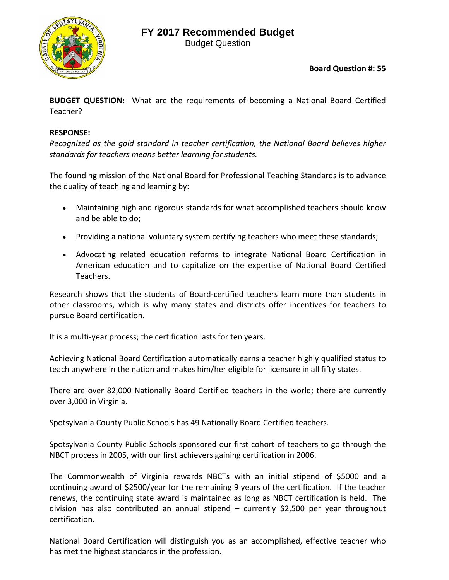## **FY 2017 Recommended Budget**



Budget Question

**Board Question #: 55**

**BUDGET QUESTION:** What are the requirements of becoming a National Board Certified Teacher?

## **RESPONSE:**

*Recognized as the gold standard in teacher certification, the National Board believes higher standards for teachers means better learning for students.*

The founding mission of the National Board for Professional Teaching Standards is to advance the quality of teaching and learning by:

- Maintaining high and rigorous standards for what accomplished teachers should know and be able to do;
- Providing a national voluntary system certifying teachers who meet these standards;
- Advocating related education reforms to integrate National Board Certification in American education and to capitalize on the expertise of National Board Certified Teachers.

Research shows that the students of Board‐certified teachers learn more than students in other classrooms, which is why many states and districts offer incentives for teachers to pursue Board certification.

It is a multi-year process; the certification lasts for ten years.

Achieving National Board Certification automatically earns a teacher highly qualified status to teach anywhere in the nation and makes him/her eligible for licensure in all fifty states.

There are over 82,000 Nationally Board Certified teachers in the world; there are currently over 3,000 in Virginia.

Spotsylvania County Public Schools has 49 Nationally Board Certified teachers.

Spotsylvania County Public Schools sponsored our first cohort of teachers to go through the NBCT process in 2005, with our first achievers gaining certification in 2006.

The Commonwealth of Virginia rewards NBCTs with an initial stipend of \$5000 and a continuing award of \$2500/year for the remaining 9 years of the certification. If the teacher renews, the continuing state award is maintained as long as NBCT certification is held. The division has also contributed an annual stipend – currently \$2,500 per year throughout certification.

National Board Certification will distinguish you as an accomplished, effective teacher who has met the highest standards in the profession.